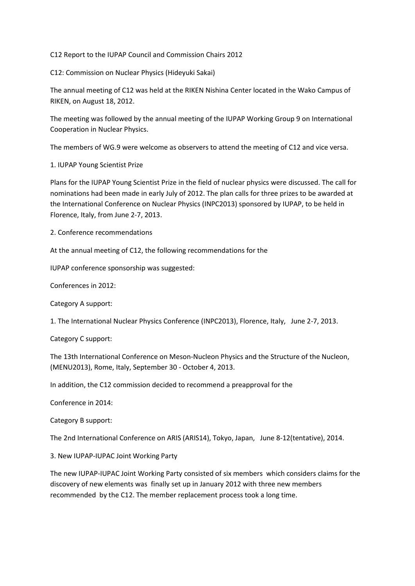C12 Report to the IUPAP Council and Commission Chairs 2012

C12: Commission on Nuclear Physics (Hideyuki Sakai)

The annual meeting of C12 was held at the RIKEN Nishina Center located in the Wako Campus of RIKEN, on August 18, 2012.

The meeting was followed by the annual meeting of the IUPAP Working Group 9 on International Cooperation in Nuclear Physics.

The members of WG.9 were welcome as observers to attend the meeting of C12 and vice versa.

1. IUPAP Young Scientist Prize

Plans for the IUPAP Young Scientist Prize in the field of nuclear physics were discussed. The call for nominations had been made in early July of 2012. The plan calls for three prizes to be awarded at the International Conference on Nuclear Physics (INPC2013) sponsored by IUPAP, to be held in Florence, Italy, from June 2-7, 2013.

2. Conference recommendations

At the annual meeting of C12, the following recommendations for the

IUPAP conference sponsorship was suggested:

Conferences in 2012:

Category A support:

1. The International Nuclear Physics Conference (INPC2013), Florence, Italy, June 2-7, 2013.

Category C support:

The 13th International Conference on Meson-Nucleon Physics and the Structure of the Nucleon, (MENU2013), Rome, Italy, September 30 - October 4, 2013.

In addition, the C12 commission decided to recommend a preapproval for the

Conference in 2014:

Category B support:

The 2nd International Conference on ARIS (ARIS14), Tokyo, Japan, June 8-12(tentative), 2014.

3. New IUPAP-IUPAC Joint Working Party

The new IUPAP-IUPAC Joint Working Party consisted of six members which considers claims for the discovery of new elements was finally set up in January 2012 with three new members recommended by the C12. The member replacement process took a long time.